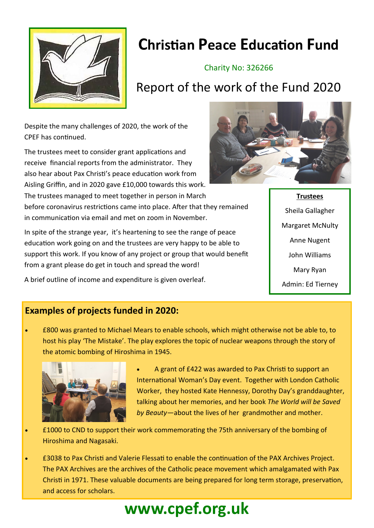

## **Christian Peace Education Fund**

### Charity No: 326266

## Report of the work of the Fund 2020

Despite the many challenges of 2020, the work of the CPEF has continued.

The trustees meet to consider grant applications and receive financial reports from the administrator. They also hear about Pax Christi's peace education work from Aisling Griffin, and in 2020 gave £10,000 towards this work. The trustees managed to meet together in person in March before coronavirus restrictions came into place. After that they remained in communication via email and met on zoom in November.

In spite of the strange year, it's heartening to see the range of peace education work going on and the trustees are very happy to be able to support this work. If you know of any project or group that would benefit from a grant please do get in touch and spread the word!

A brief outline of income and expenditure is given overleaf.

## **Examples of projects funded in 2020:**

• £800 was granted to Michael Mears to enable schools, which might otherwise not be able to, to host his play 'The Mistake'. The play explores the topic of nuclear weapons through the story of the atomic bombing of Hiroshima in 1945.



• A grant of £422 was awarded to Pax Christi to support an International Woman's Day event. Together with London Catholic Worker, they hosted Kate Hennessy, Dorothy Day's granddaughter, talking about her memories, and her book *The World will be Saved by Beauty—*about the lives of her grandmother and mother.

- £1000 to CND to support their work commemorating the 75th anniversary of the bombing of Hiroshima and Nagasaki.
- £3038 to Pax Christi and Valerie Flessati to enable the continuation of the PAX Archives Project. The PAX Archives are the archives of the Catholic peace movement which amalgamated with Pax Christi in 1971. These valuable documents are being prepared for long term storage, preservation, and access for scholars.



**Trustees**  Sheila Gallagher Margaret McNulty Anne Nugent John Williams Mary Ryan Admin: Ed Tierney

# **www.cpef.org.uk**